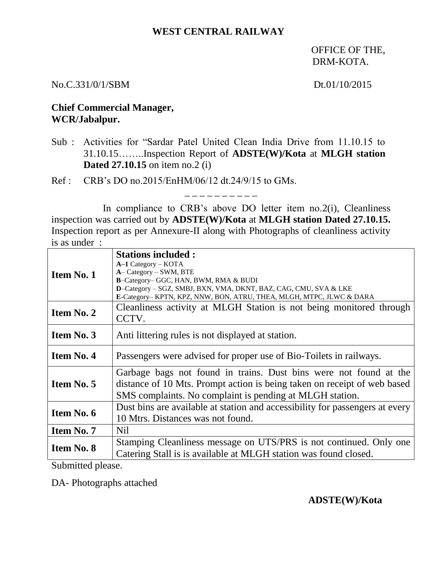## **WEST CENTRAL RAILWAY**

OFFICE OF THE, DRM-KOTA.

#### No.C.331/0/1/SBM Dt.01/10/2015

# **Chief Commercial Manager, WCR/Jabalpur.**

Sub : Activities for "Sardar Patel United Clean India Drive from 11.10.15 to 31.10.15……..Inspection Report of **ADSTE(W)/Kota** at **MLGH station Dated 27.10.15** on item no.2 (i)

Ref : CRB's DO no.2015/EnHM/06/12 dt.24/9/15 to GMs.

In compliance to CRB's above DO letter item no. 2(i), Cleanliness inspection was carried out by **ADSTE(W)/Kota** at **MLGH station Dated 27.10.15.** Inspection report as per Annexure-II along with Photographs of cleanliness activity is as under :

\_ \_ \_ \_ \_ \_ \_ \_ \_ \_

| <b>Item No. 1</b> | <b>Stations included:</b><br>$A-1$ Category – KOTA<br>A-Category - SWM, BTE                                                                                                                               |
|-------------------|-----------------------------------------------------------------------------------------------------------------------------------------------------------------------------------------------------------|
|                   | B-Category- GGC, HAN, BWM, RMA & BUDI<br>D-Category - SGZ, SMBJ, BXN, VMA, DKNT, BAZ, CAG, CMU, SVA & LKE<br>E-Category- KPTN, KPZ, NNW, BON, ATRU, THEA, MLGH, MTPC, JLWC & DARA                         |
| Item No. 2        | Cleanliness activity at MLGH Station is not being monitored through<br>CCTV.                                                                                                                              |
| <b>Item No. 3</b> | Anti littering rules is not displayed at station.                                                                                                                                                         |
| <b>Item No. 4</b> | Passengers were advised for proper use of Bio-Toilets in railways.                                                                                                                                        |
| Item No. 5        | Garbage bags not found in trains. Dust bins were not found at the<br>distance of 10 Mts. Prompt action is being taken on receipt of web based<br>SMS complaints. No complaint is pending at MLGH station. |
| Item No. 6        | Dust bins are available at station and accessibility for passengers at every<br>10 Mtrs. Distances was not found.                                                                                         |
| <b>Item No. 7</b> | Nil                                                                                                                                                                                                       |
| <b>Item No. 8</b> | Stamping Cleanliness message on UTS/PRS is not continued. Only one<br>Catering Stall is is available at MLGH station was found closed.                                                                    |

Submitted please.

DA- Photographs attached

## **ADSTE(W)/Kota**